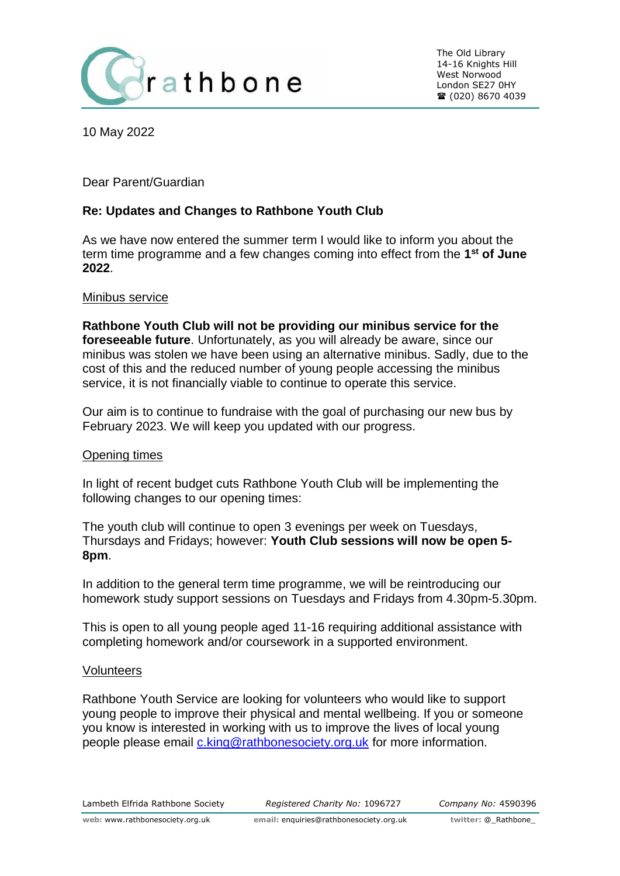

10 May 2022

Dear Parent/Guardian

# **Re: Updates and Changes to Rathbone Youth Club**

As we have now entered the summer term I would like to inform you about the term time programme and a few changes coming into effect from the **1 st of June 2022**.

### Minibus service

**Rathbone Youth Club will not be providing our minibus service for the foreseeable future**. Unfortunately, as you will already be aware, since our minibus was stolen we have been using an alternative minibus. Sadly, due to the cost of this and the reduced number of young people accessing the minibus service, it is not financially viable to continue to operate this service.

Our aim is to continue to fundraise with the goal of purchasing our new bus by February 2023. We will keep you updated with our progress.

## Opening times

In light of recent budget cuts Rathbone Youth Club will be implementing the following changes to our opening times:

The youth club will continue to open 3 evenings per week on Tuesdays, Thursdays and Fridays; however: **Youth Club sessions will now be open 5- 8pm**.

In addition to the general term time programme, we will be reintroducing our homework study support sessions on Tuesdays and Fridays from 4.30pm-5.30pm.

This is open to all young people aged 11-16 requiring additional assistance with completing homework and/or coursework in a supported environment.

#### **Volunteers**

Rathbone Youth Service are looking for volunteers who would like to support young people to improve their physical and mental wellbeing. If you or someone you know is interested in working with us to improve the lives of local young people please email [c.king@rathbonesociety.org.uk](mailto:c.king@rathbonesociety.org.uk) for more information.